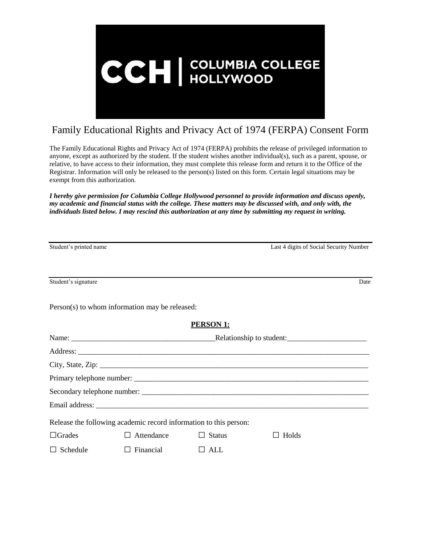

## Family Educational Rights and Privacy Act of 1974 (FERPA) Consent Form

The Family Educational Rights and Privacy Act of 1974 (FERPA) prohibits the release of privileged information to anyone, except as authorized by the student. If the student wishes another individual(s), such as a parent, spouse, or relative, to have access to their information, they must complete this release form and return it to the Office of the Registrar. Information will only be released to the person(s) listed on this form. Certain legal situations may be exempt from this authorization.

*I hereby give permission for Columbia College Hollywood personnel to provide information and discuss openly, my academic and financial status with the college. These matters may be discussed with, and only with, the individuals listed below. I may rescind this authorization at any time by submitting my request in writing.*

| Student's printed name |                                                                   |                  | Last 4 digits of Social Security Number |      |
|------------------------|-------------------------------------------------------------------|------------------|-----------------------------------------|------|
|                        |                                                                   |                  |                                         |      |
| Student's signature    |                                                                   |                  |                                         | Date |
|                        | Person(s) to whom information may be released:                    |                  |                                         |      |
|                        |                                                                   | <b>PERSON 1:</b> |                                         |      |
|                        |                                                                   |                  |                                         |      |
|                        |                                                                   |                  |                                         |      |
|                        |                                                                   |                  |                                         |      |
|                        |                                                                   |                  |                                         |      |
|                        |                                                                   |                  |                                         |      |
|                        |                                                                   |                  |                                         |      |
|                        | Release the following academic record information to this person: |                  |                                         |      |
| $\Box$ Grades          | $\Box$ Attendance                                                 | $\Box$ Status    | $\Box$ Holds                            |      |
| $\Box$ Schedule        | Financial                                                         | ALL<br>$\perp$   |                                         |      |